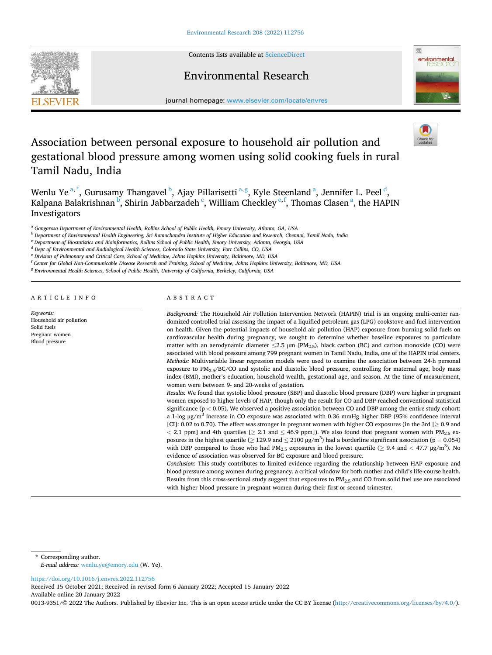

Contents lists available at [ScienceDirect](www.sciencedirect.com/science/journal/00139351)

## Environmental Research



journal homepage: [www.elsevier.com/locate/envres](https://www.elsevier.com/locate/envres) 

# Association between personal exposure to household air pollution and gestational blood pressure among women using solid cooking fuels in rural Tamil Nadu, India



Wenlu Ye<sup>a,\*</sup>, Gurusamy Thangavel<sup>b</sup>, Ajay Pillarisetti<sup>a,g</sup>, Kyle Steenland<sup>a</sup>, Jennifer L. Peel<sup>d</sup>, Kalpana Balakrishnan <sup>b</sup>, Shirin Jabbarzadeh <sup>c</sup>, William Checkley <sup>e, f</sup>, Thomas Clasen <sup>a</sup>, the HAPIN Investigators

<sup>a</sup> *Gangarosa Department of Environmental Health, Rollins School of Public Health, Emory University, Atlanta, GA, USA* 

<sup>b</sup> *Department of Environmental Health Engineering, Sri Ramachandra Institute of Higher Education and Research, Chennai, Tamil Nadu, India* 

<sup>c</sup> *Department of Biostatistics and Bioinformatics, Rollins School of Public Health, Emory University, Atlanta, Georgia, USA* 

<sup>d</sup> *Dept of Environmental and Radiological Health Sciences, Colorado State University, Fort Collins, CO, USA* 

<sup>e</sup> *Division of Pulmonary and Critical Care, School of Medicine, Johns Hopkins University, Baltimore, MD, USA* 

<sup>f</sup> *Center for Global Non-Communicable Disease Research and Training, School of Medicine, Johns Hopkins University, Baltimore, MD, USA* 

<sup>g</sup> Environmental Health Sciences, School of Public Health, University of California, Berkeley, California, USA

ARTICLE INFO

*Keywords:*  Household air pollution Solid fuels Pregnant women Blood pressure

## ABSTRACT

*Background:* The Household Air Pollution Intervention Network (HAPIN) trial is an ongoing multi-center randomized controlled trial assessing the impact of a liquified petroleum gas (LPG) cookstove and fuel intervention on health. Given the potential impacts of household air pollution (HAP) exposure from burning solid fuels on cardiovascular health during pregnancy, we sought to determine whether baseline exposures to particulate matter with an aerodynamic diameter  $\leq$ 2.5 µm (PM<sub>2.5</sub>), black carbon (BC) and carbon monoxide (CO) were associated with blood pressure among 799 pregnant women in Tamil Nadu, India, one of the HAPIN trial centers. *Methods:* Multivariable linear regression models were used to examine the association between 24-h personal exposure to PM<sub>2.5</sub>/BC/CO and systolic and diastolic blood pressure, controlling for maternal age, body mass index (BMI), mother's education, household wealth, gestational age, and season. At the time of measurement, women were between 9- and 20-weeks of gestation.

*Results:* We found that systolic blood pressure (SBP) and diastolic blood pressure (DBP) were higher in pregnant women exposed to higher levels of HAP, though only the result for CO and DBP reached conventional statistical significance (p *<* 0.05). We observed a positive association between CO and DBP among the entire study cohort: a 1-log  $\mu$ g/m<sup>3</sup> increase in CO exposure was associated with 0.36 mmHg higher DBP (95% confidence interval [CI]: 0.02 to 0.70). The effect was stronger in pregnant women with higher CO exposures (in the 3rd [≥ 0.9 and  $<$  2.1 ppm] and 4th quartiles [ $\geq$  2.1 and  $\leq$  46.9 ppm]). We also found that pregnant women with PM<sub>2.5</sub> exposures in the highest quartile ( $\geq 129.9$  and  $\leq 2100$  µg/m<sup>3</sup>) had a borderline significant association (p = 0.054) with DBP compared to those who had  $PM_{2.5}$  exposures in the lowest quartile ( $\geq 9.4$  and  $\lt 47.7$   $\mu$ g/m<sup>3</sup>). No evidence of association was observed for BC exposure and blood pressure.

*Conclusion:* This study contributes to limited evidence regarding the relationship between HAP exposure and blood pressure among women during pregnancy, a critical window for both mother and child's life-course health. Results from this cross-sectional study suggest that exposures to PM2.5 and CO from solid fuel use are associated with higher blood pressure in pregnant women during their first or second trimester.

\* Corresponding author. *E-mail address:* [wenlu.ye@emory.edu](mailto:wenlu.ye@emory.edu) (W. Ye).

<https://doi.org/10.1016/j.envres.2022.112756>

Available online 20 January 2022 Received 15 October 2021; Received in revised form 6 January 2022; Accepted 15 January 2022

0013-9351/©2022 The Authors. Published by Elsevier Inc. This is an open access article under the CC BY license (<http://creativecommons.org/licenses/by/4.0/>).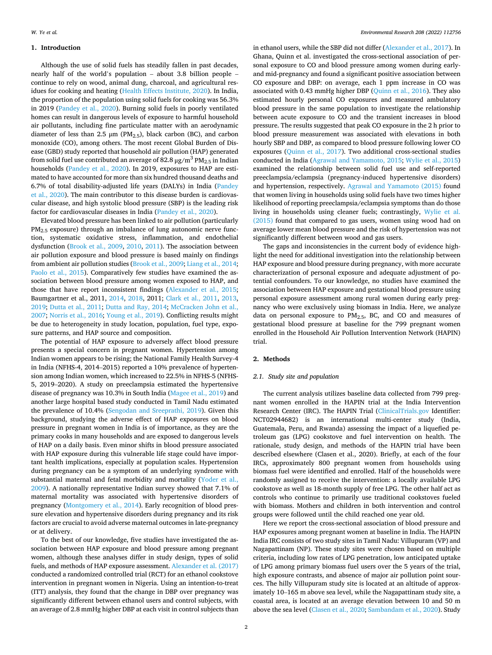#### **1. Introduction**

Although the use of solid fuels has steadily fallen in past decades, nearly half of the world's population – about 3.8 billion people – continue to rely on wood, animal dung, charcoal, and agricultural residues for cooking and heating ([Health Effects Institute, 2020](#page-6-0)). In India, the proportion of the population using solid fuels for cooking was 56.3% in 2019 ([Pandey et al., 2020](#page-7-0)). Burning solid fuels in poorly ventilated homes can result in dangerous levels of exposure to harmful household air pollutants, including fine particulate matter with an aerodynamic diameter of less than 2.5  $\mu$ m (PM<sub>2.5</sub>), black carbon (BC), and carbon monoxide (CO), among others. The most recent Global Burden of Disease (GBD) study reported that household air pollution (HAP) generated from solid fuel use contributed an average of 82.8  $\mu$ g/m<sup>3</sup> PM<sub>2.5</sub> in Indian households ([Pandey et al., 2020\)](#page-7-0). In 2019, exposures to HAP are estimated to have accounted for more than six hundred thousand deaths and 6.7% of total disability-adjusted life years (DALYs) in India ([Pandey](#page-7-0)  [et al., 2020](#page-7-0)). The main contributor to this disease burden is cardiovascular disease, and high systolic blood pressure (SBP) is the leading risk factor for cardiovascular diseases in India [\(Pandey et al., 2020\)](#page-7-0).

Elevated blood pressure has been linked to air pollution (particularly  $PM<sub>2</sub>$  s exposure) through an imbalance of lung autonomic nerve function, systematic oxidative stress, inflammation, and endothelial dysfunction [\(Brook et al., 2009](#page-6-0), [2010](#page-6-0), [2011\)](#page-6-0). The association between air pollution exposure and blood pressure is based mainly on findings from ambient air pollution studies ([Brook et al., 2009](#page-6-0); [Liang et al., 2014](#page-6-0); [Paolo et al., 2015\)](#page-7-0). Comparatively few studies have examined the association between blood pressure among women exposed to HAP, and those that have report inconsistent findings [\(Alexander et al., 2015](#page-6-0); Baumgartner et al., 2011, [2014](#page-6-0), [2018](#page-6-0), 2011; [Clark et al., 2011, 2013](#page-6-0), [2019; Dutta et al., 2011](#page-6-0); [Dutta and Ray, 2014](#page-6-0); [McCracken John et al.,](#page-6-0)  [2007;](#page-6-0) [Norris et al., 2016](#page-7-0); [Young et al., 2019](#page-7-0)). Conflicting results might be due to heterogeneity in study location, population, fuel type, exposure patterns, and HAP source and composition.

The potential of HAP exposure to adversely affect blood pressure presents a special concern in pregnant women. Hypertension among Indian women appears to be rising; the National Family Health Survey-4 in India (NFHS-4, 2014–2015) reported a 10% prevalence of hypertension among Indian women, which increased to 22.5% in NFHS-5 (NFHS-5, 2019–2020). A study on preeclampsia estimated the hypertensive disease of pregnancy was 10.3% in South India [\(Magee et al., 2019\)](#page-6-0) and another large hospital based study conducted in Tamil Nadu estimated the prevalence of 10.4% [\(Sengodan and Sreeprathi, 2019](#page-7-0)). Given this background, studying the adverse effect of HAP exposures on blood pressure in pregnant women in India is of importance, as they are the primary cooks in many households and are exposed to dangerous levels of HAP on a daily basis. Even minor shifts in blood pressure associated with HAP exposure during this vulnerable life stage could have important health implications, especially at population scales. Hypertension during pregnancy can be a symptom of an underlying syndrome with substantial maternal and fetal morbidity and mortality [\(Yoder et al.,](#page-7-0)  [2009\)](#page-7-0). A nationally representative Indian survey showed that 7.1% of maternal mortality was associated with hypertensive disorders of pregnancy ([Montgomery et al., 2014](#page-7-0)). Early recognition of blood pressure elevation and hypertensive disorders during pregnancy and its risk factors are crucial to avoid adverse maternal outcomes in late-pregnancy or at delivery.

To the best of our knowledge, five studies have investigated the association between HAP exposure and blood pressure among pregnant women, although these analyses differ in study design, types of solid fuels, and methods of HAP exposure assessment. [Alexander et al. \(2017\)](#page-6-0)  conducted a randomized controlled trial (RCT) for an ethanol cookstove intervention in pregnant women in Nigeria. Using an intention-to-treat (ITT) analysis, they found that the change in DBP over pregnancy was significantly different between ethanol users and control subjects, with an average of 2.8 mmHg higher DBP at each visit in control subjects than

in ethanol users, while the SBP did not differ ([Alexander et al., 2017](#page-6-0)). In Ghana, Quinn et al. investigated the cross-sectional association of personal exposure to CO and blood pressure among women during earlyand mid-pregnancy and found a significant positive association between CO exposure and DBP: on average, each 1 ppm increase in CO was associated with 0.43 mmHg higher DBP [\(Quinn et al., 2016](#page-7-0)). They also estimated hourly personal CO exposures and measured ambulatory blood pressure in the same population to investigate the relationship between acute exposure to CO and the transient increases in blood pressure. The results suggested that peak CO exposure in the 2 h prior to blood pressure measurement was associated with elevations in both hourly SBP and DBP, as compared to blood pressure following lower CO exposures [\(Quinn et al., 2017\)](#page-7-0). Two additional cross-sectional studies conducted in India ([Agrawal and Yamamoto, 2015;](#page-6-0) [Wylie et al., 2015\)](#page-7-0) examined the relationship between solid fuel use and self-reported preeclampsia/eclampsia (pregnancy-induced hypertensive disorders) and hypertension, respectively. [Agrawal and Yamamoto \(2015\)](#page-6-0) found that women living in households using solid fuels have two times higher likelihood of reporting preeclampsia/eclampsia symptoms than do those living in households using cleaner fuels; contrastingly, [Wylie et al.](#page-7-0)  [\(2015\)](#page-7-0) found that compared to gas users, women using wood had on average lower mean blood pressure and the risk of hypertension was not significantly different between wood and gas users.

The gaps and inconsistencies in the current body of evidence highlight the need for additional investigation into the relationship between HAP exposure and blood pressure during pregnancy, with more accurate characterization of personal exposure and adequate adjustment of potential confounders. To our knowledge, no studies have examined the association between HAP exposure and gestational blood pressure using personal exposure assessment among rural women during early pregnancy who were exclusively using biomass in India. Here, we analyze data on personal exposure to  $PM<sub>2.5</sub>$ , BC, and CO and measures of gestational blood pressure at baseline for the 799 pregnant women enrolled in the Household Air Pollution Intervention Network (HAPIN) trial.

#### **2. Methods**

#### *2.1. Study site and population*

The current analysis utilizes baseline data collected from 799 pregnant women enrolled in the HAPIN trial at the India Intervention Research Center (IRC). The HAPIN Trial ([ClinicalTrials.gov](http://ClinicalTrials.gov) Identifier: NCT02944682) is an international multi-center study (India, Guatemala, Peru, and Rwanda) assessing the impact of a liquefied petroleum gas (LPG) cookstove and fuel intervention on health. The rationale, study design, and methods of the HAPIN trial have been described elsewhere (Clasen et al., 2020). Briefly, at each of the four IRCs, approximately 800 pregnant women from households using biomass fuel were identified and enrolled. Half of the households were randomly assigned to receive the intervention: a locally available LPG cookstove as well as 18-month supply of free LPG. The other half act as controls who continue to primarily use traditional cookstoves fueled with biomass. Mothers and children in both intervention and control groups were followed until the child reached one year old.

Here we report the cross-sectional association of blood pressure and HAP exposures among pregnant women at baseline in India. The HAPIN India IRC consists of two study sites in Tamil Nadu: Villupuram (VP) and Nagapattinam (NP). These study sites were chosen based on multiple criteria, including low rates of LPG penetration, low anticipated uptake of LPG among primary biomass fuel users over the 5 years of the trial, high exposure contrasts, and absence of major air pollution point sources. The hilly Villupuram study site is located at an altitude of approximately 10–165 m above sea level, while the Nagapattinam study site, a coastal area, is located at an average elevation between 10 and 50 m above the sea level [\(Clasen et al., 2020;](#page-6-0) [Sambandam et al., 2020](#page-7-0)). Study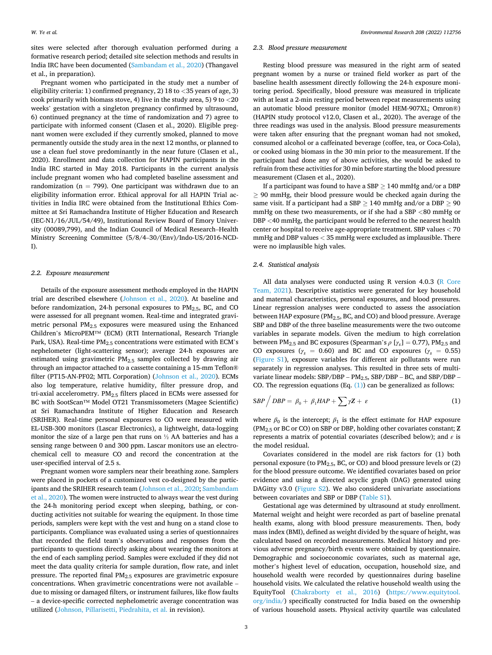sites were selected after thorough evaluation performed during a formative research period; detailed site selection methods and results in India IRC have been documented ([Sambandam et al., 2020\)](#page-7-0) (Thangavel et al., in preparation).

Pregnant women who participated in the study met a number of eligibility criteria: 1) confirmed pregnancy, 2) 18 to *<*35 years of age, 3) cook primarily with biomass stove, 4) live in the study area, 5) 9 to *<*20 weeks' gestation with a singleton pregnancy confirmed by ultrasound, 6) continued pregnancy at the time of randomization and 7) agree to participate with informed consent (Clasen et al., 2020). Eligible pregnant women were excluded if they currently smoked, planned to move permanently outside the study area in the next 12 months, or planned to use a clean fuel stove predominantly in the near future (Clasen et al., 2020). Enrollment and data collection for HAPIN participants in the India IRC started in May 2018. Participants in the current analysis include pregnant women who had completed baseline assessment and randomization ( $n = 799$ ). One participant was withdrawn due to an eligibility information error. Ethical approval for all HAPIN Trial activities in India IRC were obtained from the Institutional Ethics Committee at Sri Ramachandra Institute of Higher Education and Research (IEC-N1/16/JUL/54/49), Institutional Review Board of Emory University (00089,799), and the Indian Council of Medical Research–Health Ministry Screening Committee (5/8/4–30/(Env)/Indo-US/2016-NCD-I).

#### *2.2. Exposure measurement*

Details of the exposure assessment methods employed in the HAPIN trial are described elsewhere ([Johnson et al., 2020](#page-6-0)). At baseline and before randomization, 24-h personal exposures to  $PM_{2.5}$ , BC, and CO were assessed for all pregnant women. Real-time and integrated gravimetric personal PM2.5 exposures were measured using the Enhanced Children's MicroPEM™ (ECM) (RTI International, Research Triangle Park, USA). Real-time PM<sub>2.5</sub> concentrations were estimated with ECM's nephelometer (light-scattering sensor); average 24-h exposures are estimated using gravimetric  $PM<sub>2.5</sub>$  samples collected by drawing air through an impactor attached to a cassette containing a 15-mm Teflon® filter (PT15-AN-PF02; MTL Corporation) ([Johnson et al., 2020\)](#page-6-0). ECMs also log temperature, relative humidity, filter pressure drop, and tri-axial accelerometry.  $PM_{2.5}$  filters placed in ECMs were assessed for BC with SootScan™ Model OT21 Transmissometers (Magee Scientific) at Sri Ramachandra Institute of Higher Education and Research (SRIHER). Real-time personal exposures to CO were measured with EL-USB-300 monitors (Lascar Electronics), a lightweight, data-logging monitor the size of a large pen that runs on ½ AA batteries and has a sensing range between 0 and 300 ppm. Lascar monitors use an electrochemical cell to measure CO and record the concentration at the user-specified interval of 2.5 s.

Pregnant women wore samplers near their breathing zone. Samplers were placed in pockets of a customized vest co-designed by the participants and the SRIHER research team [\(Johnson et al., 2020](#page-6-0); [Sambandam](#page-7-0)  [et al., 2020\)](#page-7-0). The women were instructed to always wear the vest during the 24-h monitoring period except when sleeping, bathing, or conducting activities not suitable for wearing the equipment. In those time periods, samplers were kept with the vest and hung on a stand close to participants. Compliance was evaluated using a series of questionnaires that recorded the field team's observations and responses from the participants to questions directly asking about wearing the monitors at the end of each sampling period. Samples were excluded if they did not meet the data quality criteria for sample duration, flow rate, and inlet pressure. The reported final PM2.5 exposures are gravimetric exposure concentrations. When gravimetric concentrations were not available – due to missing or damaged filters, or instrument failures, like flow faults – a device-specific corrected nephelometric average concentration was utilized ([Johnson, Pillarisetti, Piedrahita, et al.](#page-6-0) in revision).

#### *2.3. Blood pressure measurement*

Resting blood pressure was measured in the right arm of seated pregnant women by a nurse or trained field worker as part of the baseline health assessment directly following the 24-h exposure monitoring period. Specifically, blood pressure was measured in triplicate with at least a 2-min resting period between repeat measurements using an automatic blood pressure monitor (model HEM-907XL; Omron®) (HAPIN study protocol v12.0, Clasen et al., 2020). The average of the three readings was used in the analysis. Blood pressure measurements were taken after ensuring that the pregnant woman had not smoked, consumed alcohol or a caffeinated beverage (coffee, tea, or Coca-Cola), or cooked using biomass in the 30 min prior to the measurement. If the participant had done any of above activities, she would be asked to refrain from these activities for 30 min before starting the blood pressure measurement (Clasen et al., 2020).

If a participant was found to have a  $SBP > 140$  mmHg and/or a DBP ≥ 90 mmHg, their blood pressure would be checked again during the same visit. If a participant had a SBP  $\geq$  140 mmHg and/or a DBP  $\geq$  90 mmHg on these two measurements, or if she had a SBP *<*80 mmHg or DBP *<*40 mmHg, the participant would be referred to the nearest health center or hospital to receive age-appropriate treatment. SBP values *<* 70 mmHg and DBP values *<* 35 mmHg were excluded as implausible. There were no implausible high vales.

## *2.4. Statistical analysis*

All data analyses were conducted using R version 4.0.3 [\(R Core](#page-7-0)  [Team, 2021\)](#page-7-0). Descriptive statistics were generated for key household and maternal characteristics, personal exposures, and blood pressures. Linear regression analyses were conducted to assess the association between HAP exposure ( $PM_{2.5}$ , BC, and CO) and blood pressure. Average SBP and DBP of the three baseline measurements were the two outcome variables in separate models. Given the medium to high correlation between PM<sub>2.5</sub> and BC exposures (Spearman's  $\rho$  [ $\gamma_s$ ] = 0.77), PM<sub>2.5</sub> and CO exposures ( $\gamma_s$  = 0.60) and BC and CO exposures ( $\gamma_s$  = 0.55) (Figure S1), exposure variables for different air pollutants were run separately in regression analyses. This resulted in three sets of multivariate linear models:  $SBP/DBP - PM_{2.5}$ ,  $SBP/DBP - BC$ , and  $SBP/DBP -$ CO. The regression equations (Eq.  $(1)$ ) can be generalized as follows:

$$
SBP / DBP = \beta_0 + \beta_1 HAP + \sum \gamma Z + \varepsilon \tag{1}
$$

where  $\beta_0$  is the intercept;  $\beta_1$  is the effect estimate for HAP exposure (PM2.5 or BC or CO) on SBP or DBP, holding other covariates constant; **Z**  represents a matrix of potential covariates (described below); and *ε* is the model residual.

Covariates considered in the model are risk factors for (1) both personal exposure (to  $PM_{2.5}$ , BC, or CO) and blood pressure levels or (2) for the blood pressure outcome. We identified covariates based on prior evidence and using a directed acyclic graph (DAG) generated using DAGitty v3.0 (Figure S2). We also considered univariate associations between covariates and SBP or DBP (Table S1).

Gestational age was determined by ultrasound at study enrollment. Maternal weight and height were recorded as part of baseline prenatal health exams, along with blood pressure measurements. Then, body mass index (BMI), defined as weight divided by the square of height, was calculated based on recorded measurements. Medical history and previous adverse pregnancy/birth events were obtained by questionnaire. Demographic and socioeconomic covariates, such as maternal age, mother's highest level of education, occupation, household size, and household wealth were recorded by questionnaires during baseline household visits. We calculated the relative household wealth using the EquityTool ([Chakraborty et al., 2016](#page-6-0)) ([https://www.equitytool.](https://www.equitytool.org/india/)  [org/india/\)](https://www.equitytool.org/india/) specifically constructed for India based on the ownership of various household assets. Physical activity quartile was calculated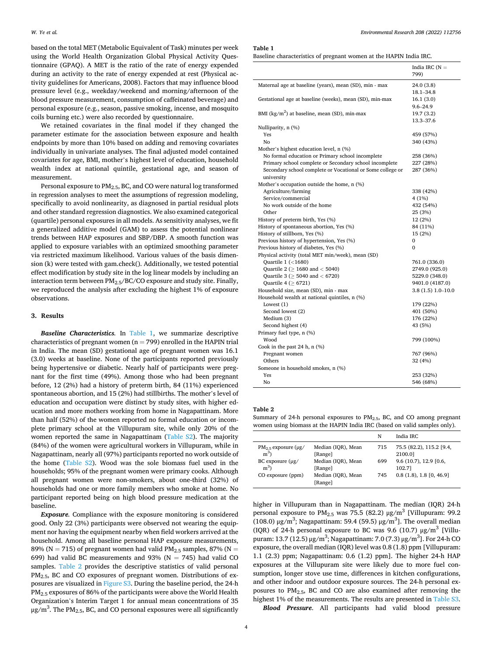based on the total MET (Metabolic Equivalent of Task) minutes per week using the World Health Organization Global Physical Activity Questionnaire (GPAQ). A MET is the ratio of the rate of energy expended during an activity to the rate of energy expended at rest (Physical activity guidelines for Americans, 2008). Factors that may influence blood pressure level (e.g., weekday/weekend and morning/afternoon of the blood pressure measurement, consumption of caffeinated beverage) and personal exposure (e.g., season, passive smoking, incense, and mosquito coils burning etc.) were also recorded by questionnaire.

We retained covariates in the final model if they changed the parameter estimate for the association between exposure and health endpoints by more than 10% based on adding and removing covariates individually in univariate analyses. The final adjusted model contained covariates for age, BMI, mother's highest level of education, household wealth index at national quintile, gestational age, and season of measurement.

Personal exposure to PM2.5, BC, and CO were natural log transformed in regression analyses to meet the assumptions of regression modeling, specifically to avoid nonlinearity, as diagnosed in partial residual plots and other standard regression diagnostics. We also examined categorical (quartile) personal exposures in all models. As sensitivity analyses, we fit a generalized additive model (GAM) to assess the potential nonlinear trends between HAP exposures and SBP/DBP. A smooth function was applied to exposure variables with an optimized smoothing parameter via restricted maximum likelihood. Various values of the basis dimension (k) were tested with gam.check(). Additionally, we tested potential effect modification by study site in the log linear models by including an interaction term between PM2.5/BC/CO exposure and study site. Finally, we reproduced the analysis after excluding the highest 1% of exposure observations.

## **3. Results**

*Baseline Characteristics.* In Table 1, we summarize descriptive characteristics of pregnant women ( $n = 799$ ) enrolled in the HAPIN trial in India. The mean (SD) gestational age of pregnant women was 16.1 (3.0) weeks at baseline. None of the participants reported previously being hypertensive or diabetic. Nearly half of participants were pregnant for the first time (49%). Among those who had been pregnant before, 12 (2%) had a history of preterm birth, 84 (11%) experienced spontaneous abortion, and 15 (2%) had stillbirths. The mother's level of education and occupation were distinct by study sites, with higher education and more mothers working from home in Nagapattinam. More than half (52%) of the women reported no formal education or incomplete primary school at the Villupuram site, while only 20% of the women reported the same in Nagapattinam (Table S2). The majority (84%) of the women were agricultural workers in Villupuram, while in Nagapattinam, nearly all (97%) participants reported no work outside of the home (Table S2). Wood was the sole biomass fuel used in the households; 95% of the pregnant women were primary cooks. Although all pregnant women were non-smokers, about one-third (32%) of households had one or more family members who smoke at home. No participant reported being on high blood pressure medication at the baseline.

*Exposure.* Compliance with the exposure monitoring is considered good. Only 22 (3%) participants were observed not wearing the equipment nor having the equipment nearby when field workers arrived at the household. Among all baseline personal HAP exposure measurements, 89% (N = 715) of pregnant women had valid  $PM_{2.5}$  samples, 87% (N = 699) had valid BC measurements and 93% ( $N = 745$ ) had valid CO samples. Table 2 provides the descriptive statistics of valid personal PM2.5, BC and CO exposures of pregnant women. Distributions of exposures are visualized in Figure S3. During the baseline period, the 24-h PM2.5 exposures of 86% of the participants were above the World Health Organization's Interim Target 1 for annual mean concentrations of 35 μg/m<sup>3</sup>. The PM<sub>2.5</sub>, BC, and CO personal exposures were all significantly

#### **Table 1**

| Baseline characteristics of pregnant women at the HAPIN India IRC. |
|--------------------------------------------------------------------|
|--------------------------------------------------------------------|

|                                                            | India IRC $(N =$   |
|------------------------------------------------------------|--------------------|
|                                                            | 799)               |
| Maternal age at baseline (years), mean (SD), min - max     | 24.0 (3.8)         |
|                                                            | $18.1 - 34.8$      |
| Gestational age at baseline (weeks), mean (SD), min-max    | 16.1 (3.0)         |
|                                                            | $9.6 - 24.9$       |
| BMI ( $\text{kg/m}^2$ ) at baseline, mean (SD), min-max    | 19.7 (3.2)         |
|                                                            | 13.3-37.6          |
| Nulliparity, n (%)                                         |                    |
| Yes                                                        | 459 (57%)          |
| No                                                         | 340 (43%)          |
| Mother's highest education level, n (%)                    |                    |
| No formal education or Primary school incomplete           | 258 (36%)          |
| Primary school complete or Secondary school incomplete     | 227 (28%)          |
| Secondary school complete or Vocational or Some college or | 287 (36%)          |
| university                                                 |                    |
| Mother's occupation outside the home, n (%)                |                    |
| Agriculture/farming                                        | 338 (42%)          |
| Service/commercial                                         | 4 (1%)             |
| No work outside of the home                                | 432 (54%)          |
| Other                                                      | 25 (3%)            |
| History of preterm birth, Yes (%)                          | 12 (2%)            |
| History of spontaneous abortion, Yes (%)                   | 84 (11%)           |
| History of stillborn, Yes (%)                              | 15 (2%)            |
| Previous history of hypertension, Yes (%)                  | 0                  |
| Previous history of diabetes, Yes (%)                      | 0                  |
| Physical activity (total MET min/week), mean (SD)          |                    |
| Quartile $1$ (<1680)                                       | 761.0 (336.0)      |
| Quartile 2 ( $>$ 1680 and $<$ 5040)                        | 2749.0 (925.0)     |
| Quartile 3 ( $\geq$ 5040 and < 6720)                       | 5229.0 (348.0)     |
| Quartile 4 ( $\geq$ 6721)                                  | 9401.0 (4187.0)    |
| Household size, mean (SD), min - max                       | $3.8(1.5)1.0-10.0$ |
| Household wealth at national quintiles, n (%)              |                    |
| Lowest $(1)$                                               | 179 (22%)          |
| Second lowest (2)                                          | 401 (50%)          |
| Medium (3)                                                 | 176 (22%)          |
| Second highest (4)                                         | 43 (5%)            |
| Primary fuel type, n (%)                                   |                    |
| Wood                                                       | 799 (100%)         |
| Cook in the past 24 h, n (%)                               |                    |
| Pregnant women                                             | 767 (96%)          |
| Others                                                     | 32 (4%)            |
| Someone in household smokes, n (%)                         |                    |
| Yes                                                        | 253 (32%)          |
| Nο                                                         | 546 (68%)          |

#### **Table 2**

Summary of 24-h personal exposures to  $PM<sub>2.5</sub>$ , BC, and CO among pregnant women using biomass at the HAPIN India IRC (based on valid samples only).

|                                                                |                                                     | N          | India IRC                                                   |
|----------------------------------------------------------------|-----------------------------------------------------|------------|-------------------------------------------------------------|
| $PM_2$ = exposure ( $\mu$ g/<br>$m^3$<br>BC exposure $(\mu g)$ | Median (IQR), Mean<br>[Range]<br>Median (IQR), Mean | 715<br>699 | 75.5 (82.2), 115.2 [9.4,<br>2100.01<br>9.6(10.7), 12.9(0.6) |
| m <sup>3</sup>                                                 | [Range]                                             |            | 102.71                                                      |
| CO exposure (ppm)                                              | Median (IQR), Mean<br>[Range]                       | 745        | 0.8(1.8), 1.8[0, 46.9]                                      |

higher in Villupuram than in Nagapattinam. The median (IQR) 24-h personal exposure to PM<sub>2.5</sub> was 75.5 (82.2)  $\mu$ g/m<sup>3</sup> [Villupuram: 99.2] (108.0)  $\mu$ g/m<sup>3</sup>; Nagapattinam: 59.4 (59.5)  $\mu$ g/m<sup>3</sup>]. The overall median (IQR) of 24-h personal exposure to BC was 9.6 (10.7)  $\mu$ g/m<sup>3</sup> [Villupuram: 13.7 (12.5) μg/m<sup>3</sup>; Nagapattinam: 7.0 (7.3) μg/m<sup>3</sup>]. For 24-h CO exposure, the overall median (IQR) level was 0.8 (1.8) ppm [Villupuram: 1.1 (2.3) ppm; Nagapattinam: 0.6 (1.2) ppm]. The higher 24-h HAP exposures at the Villupuram site were likely due to more fuel consumption, longer stove use time, differences in kitchen configurations, and other indoor and outdoor exposure sources. The 24-h personal exposures to  $PM<sub>2.5</sub>$ , BC and CO are also examined after removing the highest 1% of the measurements. The results are presented in Table S3.

*Blood Pressure*. All participants had valid blood pressure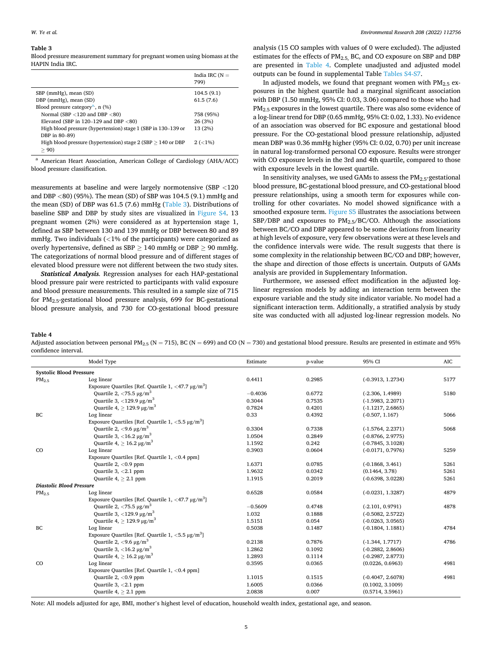#### **Table 3**

Blood pressure measurement summary for pregnant women using biomass at the HAPIN India IRC.

|                                                                  | India IRC $(N =$<br>799) |
|------------------------------------------------------------------|--------------------------|
| SBP (mmHg), mean (SD)                                            | 104.5(9.1)               |
| DBP (mmHg), mean (SD)                                            | 61.5(7.6)                |
| Blood pressure category <sup>a</sup> , $n$ (%)                   |                          |
| Normal (SBP $<$ 120 and DBP $<$ 80)                              | 758 (95%)                |
| Elevated (SBP in $120-129$ and DBP $< 80$ )                      | 26 (3%)                  |
| High blood pressure (hypertension) stage 1 (SBP in 130–139 or    | 13 (2%)                  |
| DBP in 80-89)                                                    |                          |
| High blood pressure (hypertension) stage $2$ (SBP $> 140$ or DBP | $2 (< 1\%)$              |
| > 90                                                             |                          |

<sup>a</sup> American Heart Association, American College of Cardiology (AHA/ACC) blood pressure classification.

measurements at baseline and were largely normotensive (SBP *<*120 and DBP *<*80) (95%). The mean (SD) of SBP was 104.5 (9.1) mmHg and the mean (SD) of DBP was 61.5 (7.6) mmHg (Table 3). Distributions of baseline SBP and DBP by study sites are visualized in Figure S4. 13 pregnant women (2%) were considered as at hypertension stage 1, defined as SBP between 130 and 139 mmHg or DBP between 80 and 89 mmHg. Two individuals (*<*1% of the participants) were categorized as overly hypertensive, defined as  $SBP \ge 140$  mmHg or DBP  $\ge 90$  mmHg. The categorizations of normal blood pressure and of different stages of elevated blood pressure were not different between the two study sites.

*Statistical Analysis.* Regression analyses for each HAP-gestational blood pressure pair were restricted to participants with valid exposure and blood pressure measurements. This resulted in a sample size of 715 for PM2.5-gestational blood pressure analysis, 699 for BC-gestational blood pressure analysis, and 730 for CO-gestational blood pressure

analysis (15 CO samples with values of 0 were excluded). The adjusted estimates for the effects of  $PM<sub>2.5</sub>$  BC, and CO exposure on SBP and DBP are presented in Table 4. Complete unadjusted and adjusted model outputs can be found in supplemental Table Tables S4-S7.

In adjusted models, we found that pregnant women with  $PM_{2.5}$  exposures in the highest quartile had a marginal significant association with DBP (1.50 mmHg, 95% CI: 0.03, 3.06) compared to those who had PM2.5 exposures in the lowest quartile. There was also some evidence of a log-linear trend for DBP (0.65 mmHg, 95% CI: 0.02, 1.33). No evidence of an association was observed for BC exposure and gestational blood pressure. For the CO-gestational blood pressure relationship, adjusted mean DBP was 0.36 mmHg higher (95% CI: 0.02, 0.70) per unit increase in natural log-transformed personal CO exposure. Results were stronger with CO exposure levels in the 3rd and 4th quartile, compared to those with exposure levels in the lowest quartile.

In sensitivity analyses, we used GAMs to assess the  $PM_{2.5}$ -gestational blood pressure, BC-gestational blood pressure, and CO-gestational blood pressure relationships, using a smooth term for exposures while controlling for other covariates. No model showed significance with a smoothed exposure term. Figure S5 illustrates the associations between SBP/DBP and exposures to  $PM_2$ <sub>5</sub>/BC/CO. Although the associations between BC/CO and DBP appeared to be some deviations from linearity at high levels of exposure, very few observations were at these levels and the confidence intervals were wide. The result suggests that there is some complexity in the relationship between BC/CO and DBP; however, the shape and direction of those effects is uncertain. Outputs of GAMs analysis are provided in Supplementary Information.

Furthermore, we assessed effect modification in the adjusted loglinear regression models by adding an interaction term between the exposure variable and the study site indicator variable. No model had a significant interaction term. Additionally, a stratified analysis by study site was conducted with all adjusted log-linear regression models. No

**Table 4** 

Adjusted association between personal PM<sub>2.5</sub> (N = 715), BC (N = 699) and CO (N = 730) and gestational blood pressure. Results are presented in estimate and 95% confidence interval.

|                                 | Model Type                                                        | Estimate  | p-value | 95% CI              | AIC  |  |  |
|---------------------------------|-------------------------------------------------------------------|-----------|---------|---------------------|------|--|--|
| <b>Systolic Blood Pressure</b>  |                                                                   |           |         |                     |      |  |  |
| PM <sub>2.5</sub>               | Log linear                                                        | 0.4411    | 0.2985  | $(-0.3913, 1.2734)$ | 5177 |  |  |
|                                 | Exposure Quartiles [Ref. Quartile 1, $\langle 47.7 \mu g/m^3$ ]   |           |         |                     |      |  |  |
|                                 | Quartile 2, $\langle 75.5 \,\mu g/m^3$                            | $-0.4036$ | 0.6772  | $(-2.306, 1.4989)$  | 5180 |  |  |
|                                 | Quartile 3, $\langle$ 129.9 $\mu$ g/m <sup>3</sup>                | 0.3044    | 0.7535  | $(-1.5983, 2.2071)$ |      |  |  |
|                                 | Quartile 4, $\geq$ 129.9 $\mu$ g/m <sup>3</sup>                   | 0.7824    | 0.4201  | $(-1.1217, 2.6865)$ |      |  |  |
| BC                              | Log linear                                                        | 0.33      | 0.4392  | $(-0.507, 1.167)$   | 5066 |  |  |
|                                 | Exposure Quartiles [Ref. Quartile 1, $\langle 5.5 \mu g/m^3$ ]    |           |         |                     |      |  |  |
|                                 | Quartile 2, $\langle 9.6 \mu g/m^3$                               | 0.3304    | 0.7338  | $(-1.5764, 2.2371)$ | 5068 |  |  |
|                                 | Quartile 3, $\langle 16.2 \,\mu g/m^3$                            | 1.0504    | 0.2849  | $(-0.8766, 2.9775)$ |      |  |  |
|                                 | Ouartile 4, $> 16.2 \mu g/m^3$                                    | 1.1592    | 0.242   | $(-0.7845, 3.1028)$ |      |  |  |
| CO                              | Log linear                                                        | 0.3903    | 0.0604  | $(-0.0171, 0.7976)$ | 5259 |  |  |
|                                 | Exposure Quartiles [Ref. Quartile 1, <0.4 ppm]                    |           |         |                     |      |  |  |
|                                 | Quartile $2, <0.9$ ppm                                            | 1.6371    | 0.0785  | $(-0.1868, 3.461)$  | 5261 |  |  |
|                                 | Quartile $3, < 2.1$ ppm                                           | 1.9632    | 0.0342  | (0.1464, 3.78)      | 5261 |  |  |
|                                 | Quartile $4$ , $> 2.1$ ppm                                        | 1.1915    | 0.2019  | $(-0.6398, 3.0228)$ | 5261 |  |  |
| <b>Diastolic Blood Pressure</b> |                                                                   |           |         |                     |      |  |  |
| PM <sub>2.5</sub>               | Log linear                                                        | 0.6528    | 0.0584  | $(-0.0231, 1.3287)$ | 4879 |  |  |
|                                 | Exposure Quartiles [Ref. Quartile 1, $\langle 47.7 \,\mu g/m^3$ ] |           |         |                     |      |  |  |
|                                 | Quartile 2, $\langle 75.5 \,\mu g/m^3$                            | $-0.5609$ | 0.4748  | $(-2.101, 0.9791)$  | 4878 |  |  |
|                                 | Quartile 3, $\langle$ 129.9 µg/m <sup>3</sup>                     | 1.032     | 0.1888  | $(-0.5082, 2.5722)$ |      |  |  |
|                                 | Ouartile 4, $> 129.9 \,\mu g/m^3$                                 | 1.5151    | 0.054   | $(-0.0263, 3.0565)$ |      |  |  |
| BC                              | Log linear                                                        | 0.5038    | 0.1487  | $(-0.1804, 1.1881)$ | 4784 |  |  |
|                                 | Exposure Quartiles [Ref. Quartile 1, $\langle 5.5 \mu g/m^3$ ]    |           |         |                     |      |  |  |
|                                 | Quartile 2, $\langle 9.6 \mu g/m^3$                               | 0.2138    | 0.7876  | $(-1.344, 1.7717)$  | 4786 |  |  |
|                                 | Quartile 3, $\langle 16.2 \,\mu g/m^3$                            | 1.2862    | 0.1092  | $(-0.2882, 2.8606)$ |      |  |  |
|                                 | Ouartile $4$ , $> 16.2 \mu g/m^3$                                 | 1.2893    | 0.1114  | $(-0.2987, 2.8773)$ |      |  |  |
| CO                              | Log linear                                                        | 0.3595    | 0.0365  | (0.0226, 0.6963)    | 4981 |  |  |
|                                 | Exposure Quartiles [Ref. Quartile 1, <0.4 ppm]                    |           |         |                     |      |  |  |
|                                 | Quartile $2, <0.9$ ppm                                            | 1.1015    | 0.1515  | $(-0.4047, 2.6078)$ | 4981 |  |  |
|                                 | Quartile $3, < 2.1$ ppm                                           | 1.6005    | 0.0366  | (0.1002, 3.1009)    |      |  |  |
|                                 | Quartile $4$ , $> 2.1$ ppm                                        | 2.0838    | 0.007   | (0.5714, 3.5961)    |      |  |  |

Note: All models adjusted for age, BMI, mother's highest level of education, household wealth index, gestational age, and season.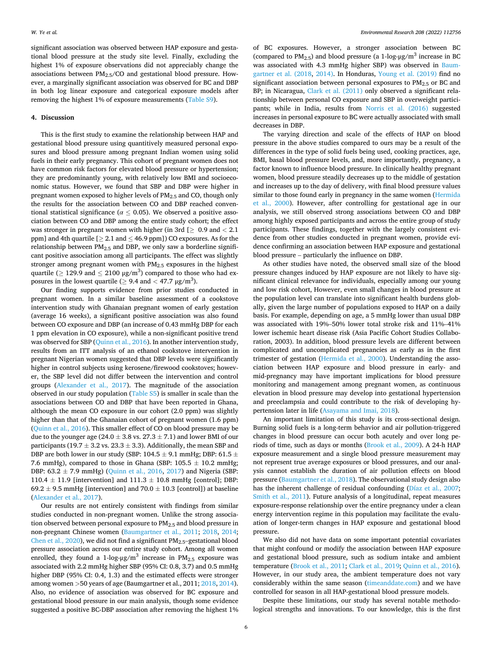significant association was observed between HAP exposure and gestational blood pressure at the study site level. Finally, excluding the highest 1% of exposure observations did not appreciably change the associations between  $PM<sub>2.5</sub>/CO$  and gestational blood pressure. However, a marginally significant association was observed for BC and DBP in both log linear exposure and categorical exposure models after removing the highest 1% of exposure measurements (Table S9).

## **4. Discussion**

This is the first study to examine the relationship between HAP and gestational blood pressure using quantitively measured personal exposures and blood pressure among pregnant Indian women using solid fuels in their early pregnancy. This cohort of pregnant women does not have common risk factors for elevated blood pressure or hypertension; they are predominantly young, with relatively low BMI and socioeconomic status. However, we found that SBP and DBP were higher in pregnant women exposed to higher levels of PM<sub>2.5</sub> and CO, though only the results for the association between CO and DBP reached conventional statistical significance ( $\alpha \leq 0.05$ ). We observed a positive association between CO and DBP among the entire study cohort; the effect was stronger in pregnant women with higher (in 3rd [≥ 0.9 and *<* 2.1 ppm] and 4th quartile  $[ \geq 2.1$  and  $\leq 46.9$  ppm]) CO exposures. As for the relationship between  $PM<sub>2.5</sub>$  and DBP, we only saw a borderline significant positive association among all participants. The effect was slightly stronger among pregnant women with  $PM<sub>2.5</sub>$  exposures in the highest quartile ( $\geq 129.9$  and  $\leq 2100 \text{ }\mu\text{g/m}^3$ ) compared to those who had exposures in the lowest quartile ( $\geq$  9.4 and  $<$  47.7  $\mu$ g/m<sup>3</sup>).

Our finding supports evidence from prior studies conducted in pregnant women. In a similar baseline assessment of a cookstove intervention study with Ghanaian pregnant women of early gestation (average 16 weeks), a significant positive association was also found between CO exposure and DBP (an increase of 0.43 mmHg DBP for each 1 ppm elevation in CO exposure), while a non-significant positive trend was observed for SBP ([Quinn et al., 2016\)](#page-7-0). In another intervention study, results from an ITT analysis of an ethanol cookstove intervention in pregnant Nigerian women suggested that DBP levels were significantly higher in control subjects using kerosene/firewood cookstoves; however, the SBP level did not differ between the intervention and control groups ([Alexander et al., 2017](#page-6-0)). The magnitude of the association observed in our study population (Table S5) is smaller in scale than the associations between CO and DBP that have been reported in Ghana, although the mean CO exposure in our cohort (2.0 ppm) was slightly higher than that of the Ghanaian cohort of pregnant women (1.6 ppm) ([Quinn et al., 2016\)](#page-7-0). This smaller effect of CO on blood pressure may be due to the younger age (24.0  $\pm$  3.8 vs. 27.3  $\pm$  7.1) and lower BMI of our participants (19.7  $\pm$  3.2 vs. 23.3  $\pm$  3.3). Additionally, the mean SBP and DBP are both lower in our study (SBP: 104.5  $\pm$  9.1 mmHg; DBP: 61.5  $\pm$ 7.6 mmHg), compared to those in Ghana (SBP:  $105.5 \pm 10.2$  mmHg; DBP:  $63.2 \pm 7.9$  mmHg) [\(Quinn et al., 2016,](#page-7-0) [2017\)](#page-7-0) and Nigeria (SBP: 110.4  $\pm$  11.9 [intervention] and 111.3  $\pm$  10.8 mmHg [control]; DBP: 69.2  $\pm$  9.5 mmHg [intervention] and 70.0  $\pm$  10.3 [control]) at baseline ([Alexander et al., 2017](#page-6-0)).

Our results are not entirely consistent with findings from similar studies conducted in non-pregnant women. Unlike the strong association observed between personal exposure to PM2.5 and blood pressure in non-pregnant Chinese women [\(Baumgartner et al., 2011](#page-6-0); [2018](#page-6-0), [2014](#page-6-0); [Chen et al., 2020](#page-6-0)), we did not find a significant  $PM_{2.5}$ -gestational blood pressure association across our entire study cohort. Among all women enrolled, they found a 1-log- $\mu$ g/m<sup>3</sup> increase in PM<sub>2.5</sub> exposure was associated with 2.2 mmHg higher SBP (95% CI: 0.8, 3.7) and 0.5 mmHg higher DBP (95% CI: 0.4, 1.3) and the estimated effects were stronger among women *>*50 years of age (Baumgartner et al., 2011; [2018, 2014](#page-6-0)). Also, no evidence of association was observed for BC exposure and gestational blood pressure in our main analysis, though some evidence suggested a positive BC-DBP association after removing the highest 1% of BC exposures. However, a stronger association between BC (compared to  $PM_{2.5}$ ) and blood pressure (a 1-log- $\mu$ g/m<sup>3</sup> increase in BC was associated with 4.3 mmHg higher SBP) was observed in [Baum](#page-6-0)[gartner et al. \(2018](#page-6-0), [2014\)](#page-6-0). In Honduras, [Young et al. \(2019\)](#page-7-0) find no significant association between personal exposures to  $PM<sub>2.5</sub>$  or BC and BP; in Nicaragua, [Clark et al. \(2011\)](#page-6-0) only observed a significant relationship between personal CO exposure and SBP in overweight participants; while in India, results from [Norris et al. \(2016\)](#page-7-0) suggested increases in personal exposure to BC were actually associated with small decreases in DBP.

The varying direction and scale of the effects of HAP on blood pressure in the above studies compared to ours may be a result of the differences in the type of solid fuels being used, cooking practices, age, BMI, basal blood pressure levels, and, more importantly, pregnancy, a factor known to influence blood pressure. In clinically healthy pregnant women, blood pressure steadily decreases up to the middle of gestation and increases up to the day of delivery, with final blood pressure values similar to those found early in pregnancy in the same women ([Hermida](#page-6-0)  [et al., 2000](#page-6-0)). However, after controlling for gestational age in our analysis, we still observed strong associations between CO and DBP among highly exposed participants and across the entire group of study participants. These findings, together with the largely consistent evidence from other studies conducted in pregnant women, provide evidence confirming an association between HAP exposure and gestational blood pressure – particularly the influence on DBP.

As other studies have noted, the observed small size of the blood pressure changes induced by HAP exposure are not likely to have significant clinical relevance for individuals, especially among our young and low risk cohort, However, even small changes in blood pressure at the population level can translate into significant health burdens globally, given the large number of populations exposed to HAP on a daily basis. For example, depending on age, a 5 mmHg lower than usual DBP was associated with 19%–50% lower total stroke risk and 11%–41% lower ischemic heart disease risk (Asia Pacific Cohort Studies Collaboration, 2003). In addition, blood pressure levels are different between complicated and uncomplicated pregnancies as early as in the first trimester of gestation ([Hermida et al., 2000\)](#page-6-0). Understanding the association between HAP exposure and blood pressure in early- and mid-pregnancy may have important implications for blood pressure monitoring and management among pregnant women, as continuous elevation in blood pressure may develop into gestational hypertension and preeclampsia and could contribute to the risk of developing hypertension later in life ([Asayama and Imai, 2018\)](#page-6-0).

An important limitation of this study is its cross-sectional design. Burning solid fuels is a long-term behavior and air pollution-triggered changes in blood pressure can occur both acutely and over long periods of time, such as days or months [\(Brook et al., 2009\)](#page-6-0). A 24-h HAP exposure measurement and a single blood pressure measurement may not represent true average exposures or blood pressures, and our analysis cannot establish the duration of air pollution effects on blood pressure ([Baumgartner et al., 2018](#page-6-0)). The observational study design also has the inherent challenge of residual confounding [\(Díaz et al., 2007](#page-6-0); [Smith et al., 2011\)](#page-7-0). Future analysis of a longitudinal, repeat measures exposure-response relationship over the entire pregnancy under a clean energy intervention regime in this population may facilitate the evaluation of longer-term changes in HAP exposure and gestational blood pressure.

We also did not have data on some important potential covariates that might confound or modify the association between HAP exposure and gestational blood pressure, such as sodium intake and ambient temperature [\(Brook et al., 2011](#page-6-0); [Clark et al., 2019;](#page-6-0) [Quinn et al., 2016](#page-7-0)). However, in our study area, the ambient temperature does not vary considerably within the same season ([timeanddate.com\)](http://timeanddate.com) and we have controlled for season in all HAP-gestational blood pressure models.

Despite these limitations, our study has several notable methodological strengths and innovations. To our knowledge, this is the first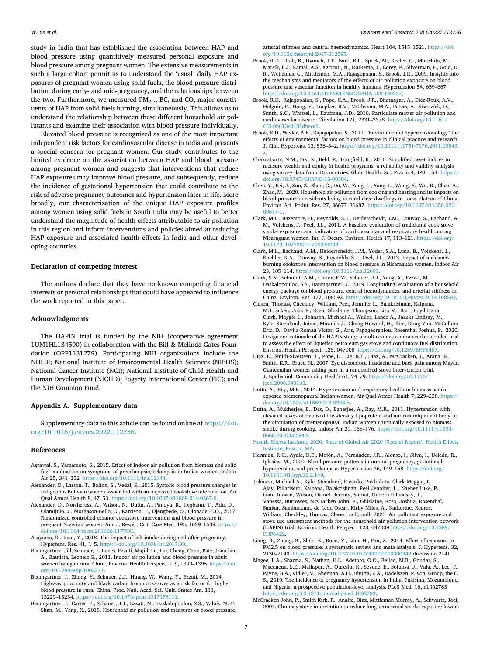<span id="page-6-0"></span>study in India that has established the association between HAP and blood pressure using quantitively measured personal exposure and blood pressure among pregnant women. The extensive measurements in such a large cohort permit us to understand the 'usual' daily HAP exposures of pregnant women using solid fuels, the blood pressure distribution during early- and mid-pregnancy, and the relationships between the two. Furthermore, we measured  $PM_{2.5}$ , BC, and CO, major constituents of HAP from solid fuels burning, simultaneously. This allows us to understand the relationship between these different household air pollutants and examine their association with blood pressure individually.

Elevated blood pressure is recognized as one of the most important independent risk factors for cardiovascular disease in India and presents a special concern for pregnant women. Our study contributes to the limited evidence on the association between HAP and blood pressure among pregnant women and suggests that interventions that reduce HAP exposures may improve blood pressure, and subsequently, reduce the incidence of gestational hypertension that could contribute to the risk of adverse pregnancy outcomes and hypertension later in life. More broadly, our characterization of the unique HAP exposure profiles among women using solid fuels in South India may be useful to better understand the magnitude of health effects attributable to air pollution in this region and inform interventions and policies aimed at reducing HAP exposure and associated health effects in India and other developing countries.

## **Declaration of competing interest**

The authors declare that they have no known competing financial interests or personal relationships that could have appeared to influence the work reported in this paper.

## **Acknowledgments**

The HAPIN trial is funded by the NIH (cooperative agreement 1UM1HL134590) in collaboration with the Bill & Melinda Gates Foundation (OPP1131279). Participating NIH organizations include the NHLBI; National Institute of Environmental Health Sciences (NIEHS); National Cancer Institute (NCI); National Institute of Child Health and Human Development (NICHD); Fogarty International Center (FIC); and the NIH Common Fund.

#### **Appendix A. Supplementary data**

Supplementary data to this article can be found online at [https://doi.](https://doi.org/10.1016/j.envres.2022.112756)  [org/10.1016/j.envres.2022.112756.](https://doi.org/10.1016/j.envres.2022.112756)

#### **References**

- Agrawal, S., Yamamoto, S., 2015. Effect of Indoor air pollution from biomass and solid fuel combustion on symptoms of preeclampsia/eclampsia in Indian women. Indoor Air 25, 341–352. <https://doi.org/10.1111/ina.12144>.
- Alexander, D., Larson, T., Bolton, S., Vedal, S., 2015. Systolic blood pressure changes in indigenous Bolivian women associated with an improved cookstove intervention. Air Qual Atmos Health 8, 47–53. <https://doi.org/10.1007/s11869-014-0267-6>.
- Alexander, D., Northcross, A., Wilson, N., Dutta, A., Pandya, R., Ibigbami, T., Adu, D., Olamijulo, J., Morhason-Bello, O., Karrison, T., Ojengbede, O., Olopade, C.O., 2017. Randomized controlled ethanol cookstove intervention and blood pressure in pregnant Nigerian women. Am. J. Respir. Crit. Care Med. 195, 1629–1639. [https://](https://doi.org/10.1164/rccm.201606-1177OC)  [doi.org/10.1164/rccm.201606-1177OC](https://doi.org/10.1164/rccm.201606-1177OC).
- Asayama, K., Imai, Y., 2018. The impact of salt intake during and after pregnancy. Hypertens. Res. 41, 1–5.<https://doi.org/10.1038/hr.2017.90>.
- Baumgartner, Jill, Schauer, J. James, Ezzati, Majid, Lu, Lin, Cheng, Chun, Patz, Jonathan A., Bautista, Leonelo E., 2011. Indoor air pollution and blood pressure in adult women living in rural China. Environ. Health Perspect. 119, 1390–1395. [https://doi.](https://doi.org/10.1289/ehp.1003371)  [org/10.1289/ehp.1003371.](https://doi.org/10.1289/ehp.1003371)
- Baumgartner, J., Zhang, Y., Schauer, J.J., Huang, W., Wang, Y., Ezzati, M., 2014. Highway proximity and black carbon from cookstoves as a risk factor for higher blood pressure in rural China. Proc. Natl. Acad. Sci. Unit. States Am. 111, 13229–13234. <https://doi.org/10.1073/pnas.1317176111>.
- Baumgartner, J., Carter, E., Schauer, J.J., Ezzati, M., Daskalopoulou, S.S., Valois, M.-F., Shan, M., Yang, X., 2018. Household air pollution and measures of blood pressure,

arterial stiffness and central haemodynamics. Heart 104, 1515–1521. [https://doi.](https://doi.org/10.1136/heartjnl-2017-312595) org/10.1136/heartinl-2017-31259

- Brook, R.D., Urch, B., Dvonch, J.T., Bard, R.L., Speck, M., Keeler, G., Morishita, M., Marsik, F.J., Kamal, A.S., Kaciroti, N., Harkema, J., Corey, P., Silverman, F., Gold, D. R., Wellenius, G., Mittleman, M.A., Rajagopalan, S., Brook, J.R., 2009. Insights into the mechanisms and mediators of the effects of air pollution exposure on blood pressure and vascular function in healthy humans. Hypertension 54, 659–667. [https://doi.org/10.1161/HYPERTENSIONAHA.109.130237.](https://doi.org/10.1161/HYPERTENSIONAHA.109.130237)
- Brook, R.D., Rajagopalan, S., Pope, C.A., Brook, J.R., Bhatnagar, A., Diez-Roux, A.V., Holguin, F., Hong, Y., Luepker, R.V., Mittleman, M.A., Peters, A., Siscovick, D., Smith, S.C., Whitsel, L., Kaufman, J.D., 2010. Particulate matter air pollution and cardiovascular disease. Circulation 121, 2331–2378. [https://doi.org/10.1161/](https://doi.org/10.1161/CIR.0b013e3181dbece1)  [CIR.0b013e3181dbece1.](https://doi.org/10.1161/CIR.0b013e3181dbece1)
- Brook, R.D., Weder, A.B., Rajagopalan, S., 2011. "Environmental hypertensionology" the effects of environmental factors on blood pressure in clinical practice and research. J. Clin. Hypertens. 13, 836–842. [https://doi.org/10.1111/j.1751-7176.2011.00543.](https://doi.org/10.1111/j.1751-7176.2011.00543.x)  [x.](https://doi.org/10.1111/j.1751-7176.2011.00543.x)
- Chakraborty, N.M., Fry, K., Behl, R., Longfield, K., 2016. Simplified asset indices to measure wealth and equity in health programs: a reliability and validity analysis using survey data from 16 countries. Glob. Health: Sci. Practi. 4, 141–154. [https://](https://doi.org/10.9745/GHSP-D-15-00384)  [doi.org/10.9745/GHSP-D-15-00384](https://doi.org/10.9745/GHSP-D-15-00384).
- Chen, Y., Fei, J., Sun, Z., Shen, G., Du, W., Zang, L., Yang, L., Wang, Y., Wu, R., Chen, A., Zhao, M., 2020. Household air pollution from cooking and heating and its impacts on blood pressure in residents living in rural cave dwellings in Loess Plateau of China. Environ. Sci. Pollut. Res. 27, 36677–36687. [https://doi.org/10.1007/s11356-020-](https://doi.org/10.1007/s11356-020-09677-1) [09677-1](https://doi.org/10.1007/s11356-020-09677-1).
- Clark, M.L., Bazemore, H., Reynolds, S.J., Heiderscheidt, J.M., Conway, S., Bachand, A. M., Volckens, J., Peel, J.L., 2011. A baseline evaluation of traditional cook stove smoke exposures and indicators of cardiovascular and respiratory health among Nicaraguan women. Int. J. Occup. Environ. Health 17, 113-121. [https://doi.org/](https://doi.org/10.1179/107735211799030942) [10.1179/107735211799030942.](https://doi.org/10.1179/107735211799030942)
- Clark, M.L., Bachand, A.M., Heiderscheidt, J.M., Yoder, S.A., Luna, B., Volckens, J., Koehler, K.A., Conway, S., Reynolds, S.J., Peel, J.L., 2013. Impact of a cleanerburning cookstove intervention on blood pressure in Nicaraguan women. Indoor Air 23, 105–114. [https://doi.org/10.1111/ina.12003.](https://doi.org/10.1111/ina.12003)
- Clark, S.N., Schmidt, A.M., Carter, E.M., Schauer, J.J., Yang, X., Ezzati, M., Daskalopoulou, S.S., Baumgartner, J., 2019. Longitudinal evaluation of a household energy package on blood pressure, central hemodynamics, and arterial stiffness in China. Environ. Res. 177, 108592. <https://doi.org/10.1016/j.envres.2019.108592>.
- Clasen, Thomas, Checkley, William, Peel, Jennifer L., Balakrishnan, Kalpana, McCracken, John P., Rosa, Ghislaine, Thompson, Lisa M., Barr, Boyd Dana, Clark, Maggie L., Johnson, Michael A., Waller, Lance A., Jaacks Lindsay, M., Kyle, Steenland, Jaime, Miranda J., Chang Howard, H., Kim, Dong-Yun, McCollum Eric, D., Davila-Roman Victor, G., Aris, Papageorghiou, Rosenthal Joshua, P., 2020. Design and rationale of the HAPIN study: a multicountry randomized controlled trial to assess the effect of liquefied petroleum gas stove and continuous fuel distribution. Environ. Health Perspect. 128, 047008 [https://doi.org/10.1289/EHP6407.](https://doi.org/10.1289/EHP6407)
- Díaz, E., Smith-Sivertsen, T., Pope, D., Lie, R.T., Díaz, A., McCracken, J., Arana, B., Smith, K.R., Bruce, N., 2007. Eye discomfort, headache and back pain among Mayan Guatemalan women taking part in a randomised stove intervention trial. J. Epidemiol. Community Health 61, 74–79. [https://doi.org/10.1136/](https://doi.org/10.1136/jech.2006.043133)  [jech.2006.043133.](https://doi.org/10.1136/jech.2006.043133)
- Dutta, A., Ray, M.R., 2014. Hypertension and respiratory health in biomass smokeexposed premenopausal Indian women. Air Qual Atmos Health 7, 229–238. [https://](https://doi.org/10.1007/s11869-013-0228-5)  [doi.org/10.1007/s11869-013-0228-5.](https://doi.org/10.1007/s11869-013-0228-5)
- Dutta, A., Mukherjee, B., Das, D., Banerjee, A., Ray, M.R., 2011. Hypertension with elevated levels of oxidized low-density lipoprotein and anticardiolipin antibody in the circulation of premenopausal Indian women chronically exposed to biomass smoke during cooking. Indoor Air 21, 165–176. [https://doi.org/10.1111/j.1600-](https://doi.org/10.1111/j.1600-0668.2010.00694.x)  [0668.2010.00694.x.](https://doi.org/10.1111/j.1600-0668.2010.00694.x)

[Health Effects Institute, 2020. State of Global Air 2020 \(Special Report\). Health Effects](http://refhub.elsevier.com/S0013-9351(22)00083-4/sref20) [Institute, Boston, MA.](http://refhub.elsevier.com/S0013-9351(22)00083-4/sref20)

- Hermida, R.C., Ayala, D.E., Mojón, A., Fernández, J.R., Alonso, I., Silva, I., Ucieda, R., Iglesias, M., 2000. Blood pressure patterns in normal pregnancy, gestational hypertension, and preeclampsia. Hypertension 36, 149–158. [https://doi.org/](https://doi.org/10.1161/01.hyp.36.2.149)  [10.1161/01.hyp.36.2.149](https://doi.org/10.1161/01.hyp.36.2.149).
- Johnson, Michael A., Kyle, Steenland, Ricardo, Piedrahita, Clark Maggie, L., Ajay, Pillarisetti, Kalpana, Balakrishnan, Peel Jennifer, L., Naeher Luke, P., Liao, Jiawen, Wilson, Daniel, Jeremy, Sarnat, Underhill Lindsay, J., Vanessa, Burrowes, McCracken John, P., Ghislaine, Rosa, Joshua, Rosenthal, Sankar, Sambandam, de Leon Oscar, Kirby Miles, A., Katherine, Kearns, William, Checkley, Thomas, Clasen, null, null, 2020. Air pollutant exposure and stove use assessment methods for the household air pollution intervention network (HAPIN) trial. Environ. Health Perspect. 128, 047009 [https://doi.org/10.1289/](https://doi.org/10.1289/EHP6422) [EHP6422](https://doi.org/10.1289/EHP6422).
- Liang, R., Zhang, B., Zhao, X., Ruan, Y., Lian, H., Fan, Z., 2014. Effect of exposure to PM2.5 on blood pressure: a systematic review and meta-analysis. J. Hypertens. 32, 2130–2140.<https://doi.org/10.1097/HJH.0000000000000342>discussion 2141.
- Magee, L.A., Sharma, S., Nathan, H.L., Adetoro, O.O., Bellad, M.B., Goudar, S., Macuacua, S.E., Mallapur, A., Qureshi, R., Sevene, E., Sotunsa, J., Valá, A., Lee, T., Payne, B.A., Vidler, M., Shennan, A.H., Bhutta, Z.A., Dadelszen, P. von, Group, the C. S., 2019. The incidence of pregnancy hypertension in India, Pakistan, Mozambique, and Nigeria: a prospective population-level analysis. PLoS Med. 16, e1002783 [https://doi.org/10.1371/journal.pmed.1002783.](https://doi.org/10.1371/journal.pmed.1002783)
- McCracken John, P., Smith Kirk, R., Anaité, Díaz, Mittleman Murray, A., Schwartz, Joel, 2007. Chimney stove intervention to reduce long-term wood smoke exposure lowers